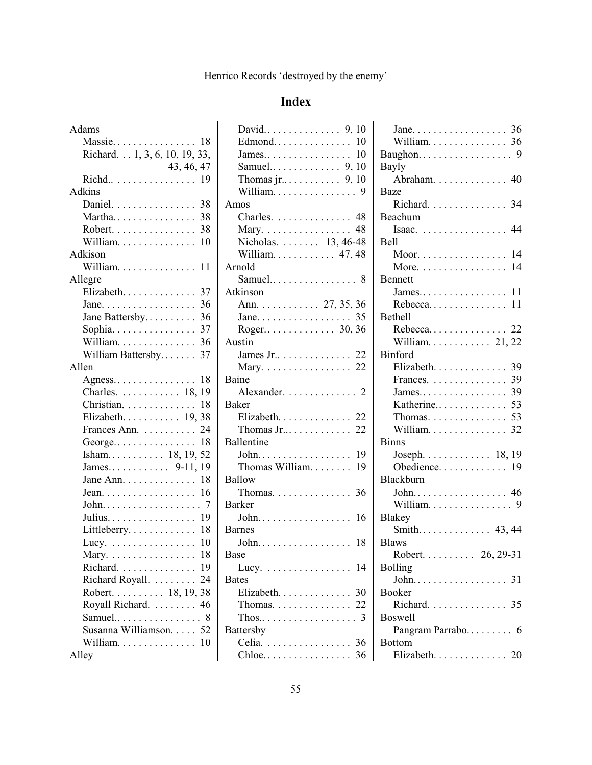# **Index**

| Adams                                                        |
|--------------------------------------------------------------|
| Massie<br>$\ldots \ldots 18$                                 |
| Richard. 1, 3, 6, 10, 19, 33,                                |
| 43, 46, 47                                                   |
| Richd 19                                                     |
| Adkins                                                       |
| Daniel.<br>38                                                |
| Martha<br>38                                                 |
| Robert.<br>38                                                |
| William.<br>10                                               |
| Adkison                                                      |
| William. 11                                                  |
| Allegre                                                      |
| Elizabeth.<br>37                                             |
| 36<br>Jane.                                                  |
| Jane Battersby<br>36                                         |
| 37<br>Sophia.                                                |
|                                                              |
| William Battersby<br>37                                      |
| Allen                                                        |
| Agness<br>18                                                 |
| Charles. 18, 19                                              |
| 18<br>Christian.                                             |
| Elizabeth. 19, 38                                            |
| Frances Ann.<br>24                                           |
| 18<br>George                                                 |
| Isham 18, 19, 52                                             |
| James 9-11, 19                                               |
| 18<br>Jane Ann.                                              |
| 16<br>Jean. $\dots \dots \dots \dots \dots$                  |
| $\overline{7}$<br>$John. \ldots \ldots \ldots \ldots \ldots$ |
| Julius. 19                                                   |
| Littleberry 18                                               |
| Lucy. $\dots\dots\dots\dots\dots\dots$<br>10                 |
| Mary. 18                                                     |
| Richard. 19                                                  |
| Richard Royall. 24                                           |
| Robert. 18, 19, 38                                           |
| Royall Richard.  46                                          |
| Samuel.<br>8                                                 |
| Susanna Williamson. 52                                       |
|                                                              |
| Alley                                                        |

| Thomas $jr$ 9, 10                                     |
|-------------------------------------------------------|
| William. 9                                            |
| Amos                                                  |
| Charles. 48                                           |
| Mary. 48                                              |
| Nicholas. 13, 46-48                                   |
| William. 47, 48                                       |
| Arnold                                                |
|                                                       |
| Atkinson                                              |
| Ann. 27, 35, 36                                       |
|                                                       |
| Roger 30, 36                                          |
| Austin                                                |
| James Jr $\dots \dots \dots \dots 22$                 |
| Mary. 22                                              |
| Baine                                                 |
| Alexander. 2                                          |
| <b>Baker</b>                                          |
| Elizabeth. 22                                         |
| Thomas $Jr$ 22                                        |
| Ballentine                                            |
| John. 19                                              |
| Thomas William.<br>19                                 |
| Ballow                                                |
| Thomas. $\ldots \ldots \ldots \ldots 36$              |
| <b>Barker</b>                                         |
|                                                       |
| <b>Barnes</b>                                         |
|                                                       |
|                                                       |
| Base                                                  |
| 14                                                    |
| Lucy. $\dots \dots \dots \dots \dots$<br><b>Bates</b> |
| Elizabeth. 30                                         |
| Thomas. 22                                            |
| 3<br>Thos                                             |
| Battersby                                             |
| Celia.<br>. 36                                        |

| Jane. $\dots \dots \dots \dots \dots \dots$ 36 |    |
|------------------------------------------------|----|
| William. 36                                    |    |
| Baughon.                                       | 9  |
| Bayly                                          |    |
| Abraham. 40                                    |    |
| <b>Baze</b>                                    |    |
| Richard. 34                                    |    |
| Beachum                                        |    |
| Isaac. 44                                      |    |
| <b>Bell</b>                                    |    |
| Moor. 14                                       |    |
| More. $\dots \dots \dots \dots \dots \dots$    | 14 |
| <b>Bennett</b>                                 |    |
|                                                |    |
| Rebecca                                        | 11 |
| <b>Bethell</b>                                 |    |
| $Rebecca \ldots \ldots \ldots \ldots 22$       |    |
| William $21, 22$                               |    |
| <b>Binford</b>                                 |    |
| Elizabeth.                                     | 39 |
| Frances.                                       | 39 |
| James                                          | 39 |
| 53<br>Katherine                                |    |
| Thomas. $\dots\dots\dots\dots\dots$            | 53 |
| William.                                       | 32 |
| <b>Binns</b>                                   |    |
| Joseph. $\ldots \ldots \ldots \ldots 18, 19$   |    |
| Obedience.                                     | 19 |
| Blackburn                                      |    |
| John 46                                        |    |
| William. 9                                     |    |
| <b>Blakey</b>                                  |    |
| Smith 43, 44                                   |    |
| <b>Blaws</b>                                   |    |
| Robert 26, 29-31                               |    |
| <b>Bolling</b>                                 |    |
| John<br>.31<br>.                               |    |
| <b>Booker</b>                                  |    |
| Richard. 35                                    |    |
| <b>Boswell</b>                                 |    |
| Pangram Parrabo 6                              |    |
| <b>Bottom</b>                                  |    |
| Elizabeth. 20                                  |    |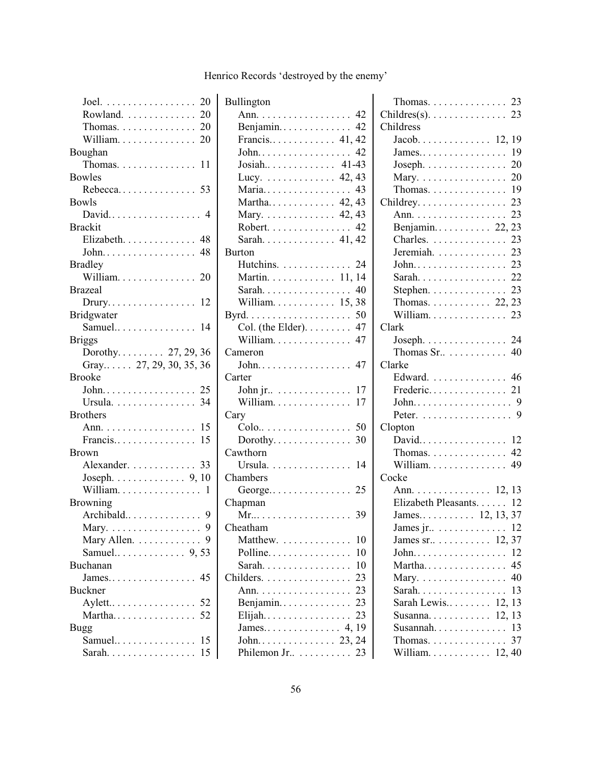| Joel. $\ldots \ldots \ldots \ldots \ldots 20$ |
|-----------------------------------------------|
| Rowland. 20                                   |
| Thomas. $\ldots \ldots \ldots \ldots 20$      |
| William. $\ldots \ldots \ldots \ldots 20$     |
| Boughan                                       |
| Thomas. 11                                    |
| <b>Bowles</b>                                 |
| Rebecca 53                                    |
| <b>Bowls</b>                                  |
| David 4                                       |
| <b>Brackit</b>                                |
| Elizabeth. 48                                 |
| John 48                                       |
| <b>Bradley</b>                                |
| William. 20                                   |
| <b>Brazeal</b>                                |
| $Drury \ldots \ldots \ldots \ldots 12$        |
| Bridgwater                                    |
| Samuel.<br>14                                 |
| <b>Briggs</b>                                 |
| Dorothy 27, 29, 36                            |
| Gray 27, 29, 30, 35, 36                       |
| <b>Brooke</b>                                 |
|                                               |
|                                               |
|                                               |
| Ursula. 34                                    |
| <b>Brothers</b>                               |
| Ann. 15                                       |
| Francis<br>15                                 |
| <b>Brown</b>                                  |
| Alexander. 33                                 |
| Joseph. $\ldots$ . 9, 10                      |
| William.<br>1                                 |
| <b>Browning</b>                               |
|                                               |
| 9<br>Mary.<br>.                               |
| Mary Allen.                                   |
| Samuel 9,53                                   |
| Buchanan                                      |
|                                               |
| Buckner                                       |
| Aylett 52                                     |
| Martha 52                                     |
| <b>Bugg</b>                                   |
| Samuel 15                                     |

| Bullington                                           |
|------------------------------------------------------|
| Ann. 42                                              |
| Benjamin 42                                          |
| Francis 41, 42                                       |
|                                                      |
| Josiah 41-43                                         |
| Lucy. $\ldots \ldots \ldots \ldots$ 42, 43           |
| Maria 43                                             |
| Martha 42, 43                                        |
| Mary. 42, 43                                         |
| Robert. 42                                           |
| Sarah 41, 42                                         |
| Burton                                               |
| Hutchins. 24                                         |
| Martin. 11, 14                                       |
|                                                      |
| William 15,38                                        |
| Byrd. $\ldots \ldots \ldots \ldots \ldots \ldots 50$ |
| Col. (the Elder). $\dots$ 47                         |
| William. 47                                          |
| Cameron                                              |
| John 47                                              |
| Carter                                               |
| John jr $\dots \dots \dots \dots \dots 17$           |
| William. $\ldots \ldots \ldots \ldots 17$            |
| Cary                                                 |
| Colo 50                                              |
| Dorothy<br>30                                        |
| Cawthorn                                             |
| Ursula. 14                                           |
| Chambers                                             |
| George 25                                            |
| Chapman                                              |
|                                                      |
| Cheatham                                             |
| Matthew.<br>10                                       |
| Polline<br>10<br>$\ddots$                            |
| 10<br>Sarah.                                         |
| Childers.<br>23                                      |
| 23<br>Ann.                                           |
| 23<br>Benjamin                                       |
| 23<br>$E$ lijah                                      |
| 19<br>James<br>4,                                    |
|                                                      |
| Philemon Jr<br>23                                    |
|                                                      |

| Thomas. $\ldots \ldots \ldots \ldots 23$          |    |
|---------------------------------------------------|----|
| $Childres(s)$ . 23                                |    |
| Childress                                         |    |
|                                                   |    |
|                                                   |    |
| Joseph. $\ldots \ldots \ldots \ldots 20$          |    |
| Mary. 20                                          |    |
| Thomas. 19                                        |    |
| Childrey. $\ldots \ldots \ldots \ldots \ldots$ 23 |    |
| Ann. 23                                           |    |
|                                                   |    |
| Benjamin 22, 23                                   |    |
| Charles. 23                                       |    |
|                                                   |    |
| John. 23                                          |    |
| Sarah 22                                          |    |
| Stephen. 23                                       |    |
| Thomas. $\ldots$ . $\ldots$ 22, 23                |    |
| William. 23                                       |    |
| Clark                                             |    |
| Joseph. $\ldots$ . 24                             |    |
| Thomas Sr. $\dots \dots \dots \dots$ 40           |    |
| Clarke                                            |    |
| Edward. 46                                        |    |
|                                                   |    |
|                                                   |    |
| Peter. $\ldots \ldots \ldots \ldots \ldots$ . 9   |    |
| Clopton                                           |    |
| David 12                                          |    |
| Thomas. 42                                        |    |
| William 49                                        |    |
| Cocke                                             |    |
| Ann. 12, 13                                       |    |
| Elizabeth Pleasants. 12                           |    |
| James 12, 13, 37                                  |    |
|                                                   |    |
| James jr. $\dots$ 12                              |    |
| James sr. $\dots \dots \dots \dots 12, 37$        |    |
|                                                   |    |
| Martha                                            | 45 |
| Mary. $\ldots \ldots \ldots \ldots \ldots$ . 40   |    |
| Sarah.                                            | 13 |
| Sarah Lewis $12, 13$                              |    |
| Susanna $12, 13$                                  |    |
| Susannah 13                                       |    |
| Thomas. $\ldots \ldots \ldots \ldots 37$          |    |
| William $12,40$                                   |    |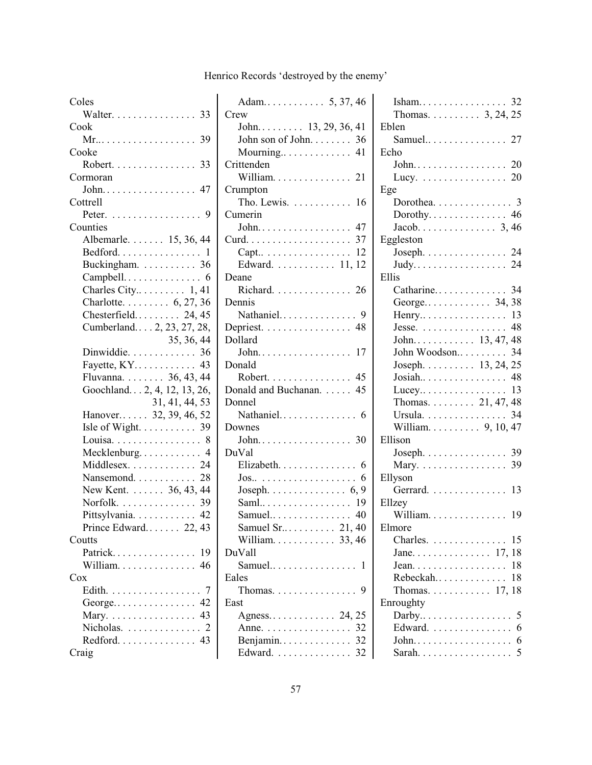|  |  | Henrico Records 'destroyed by the enemy' |
|--|--|------------------------------------------|
|  |  |                                          |

| Coles                                     |                |
|-------------------------------------------|----------------|
| Walter. 33                                |                |
| Cook                                      |                |
|                                           |                |
| Cooke                                     |                |
|                                           |                |
| Robert. 33                                | $\overline{C}$ |
| Cormoran                                  |                |
|                                           | $\overline{C}$ |
| Cottrell                                  |                |
| Peter.<br>9                               | $\overline{C}$ |
| Counties                                  |                |
| Albemarle. 15, 36, 44                     | $\overline{C}$ |
| Bedford 1                                 |                |
| Buckingham. 36                            |                |
| $Campbell. \ldots \ldots \ldots \ldots 6$ | D              |
| Charles City 1, 41                        |                |
| Charlotte. 6, 27, 36                      | D              |
| Chesterfield 24, 45                       |                |
| Cumberland 2, 23, 27, 28,                 | D              |
| 35, 36, 44                                | D              |
| Dinwiddie. 36                             |                |
| Fayette, KY 43                            | D              |
| Fluvanna. 36, 43, 44                      |                |
| Goochland 2, 4, 12, 13, 26,               | D              |
| 31, 41, 44, 53                            | D              |
| Hanover 32, 39, 46, 52                    |                |
| Isle of Wight. $\ldots \ldots \ldots$ 39  | D              |
| Louisa 8                                  |                |
| Mecklenburg 4                             | D              |
| Middlesex. 24                             |                |
| Nansemond. 28                             |                |
| New Kent. 36, 43, 44                      |                |
| Norfolk. 39                               |                |
|                                           |                |
| Pittsylvania. 42<br>Prince Edward 22, 43  |                |
| Coutts                                    |                |
| Patrick<br>19                             | D              |
| William. $\ldots \ldots \ldots \ldots$ 46 |                |
|                                           | E.             |
| Cox                                       |                |
| Edith.<br>7                               |                |
| George 42                                 | E.             |
| Mary. 43                                  |                |
| Nicholas.<br>2                            |                |
| Redford. 43                               |                |
| Craig                                     |                |

| Adam 5, 37, 46                                              |
|-------------------------------------------------------------|
| Crew                                                        |
| John $13, 29, 36, 41$                                       |
| John son of John 36                                         |
| Mourning 41                                                 |
| Crittenden                                                  |
| William 21                                                  |
| Crumpton                                                    |
| Tho. Lewis. 16                                              |
| Cumerin                                                     |
| John 47                                                     |
|                                                             |
| Capt 12                                                     |
| Edward.  11, 12                                             |
| Deane                                                       |
| Richard. 26                                                 |
| Dennis                                                      |
|                                                             |
|                                                             |
| Depriest. 48                                                |
| Dollard                                                     |
| John 17                                                     |
| Donald                                                      |
| Robert. 45                                                  |
| Donald and Buchanan. 45                                     |
| Donnel                                                      |
|                                                             |
| Downes                                                      |
|                                                             |
| DuVal                                                       |
| Elizabeth. 6                                                |
|                                                             |
|                                                             |
| Saml 19                                                     |
|                                                             |
|                                                             |
| William.<br>$\ldots$ 33, 46                                 |
| DuVall                                                      |
| Samuel<br>1                                                 |
| $\mathbf{1}$ , and $\mathbf{1}$ , and $\mathbf{1}$<br>Eales |
| 9                                                           |
| Thomas.                                                     |
| East                                                        |
| Agness 24, 25                                               |
| 32<br>Anne.                                                 |
| Benjamin<br>32                                              |
| Edward.<br>32                                               |

| Thomas. $\ldots$ $\ldots$ $\ldots$ 3, 24, 25  |     |
|-----------------------------------------------|-----|
| Eblen                                         |     |
| Samuel 27                                     |     |
| Echo                                          |     |
|                                               |     |
| Lucy. $\ldots \ldots \ldots \ldots \ldots 20$ |     |
| Ege                                           |     |
| Dorothea. 3                                   |     |
| Dorothy 46                                    |     |
|                                               |     |
| Eggleston                                     |     |
| Joseph. 24                                    |     |
|                                               |     |
| Ellis                                         |     |
|                                               |     |
|                                               |     |
|                                               |     |
|                                               |     |
| Jesse. 48<br>John. 13, 47, 48                 |     |
| John Woodson 34                               |     |
| Joseph. 13, 24, 25                            |     |
|                                               |     |
|                                               |     |
| Thomas. 21, 47, 48                            |     |
| Ursula. 34                                    |     |
| William 9, 10, 47                             |     |
| Ellison                                       |     |
| Joseph. 39                                    |     |
| Mary. 39                                      |     |
| Ellyson                                       |     |
| Gerrard. 13                                   |     |
| Ellzey                                        |     |
| William. 19                                   |     |
| Elmore                                        |     |
| Charles.                                      | 15  |
|                                               |     |
| Jean.                                         | 18  |
| Rebeckah                                      | 18  |
| Thomas. $\ldots \ldots \ldots \ldots 17, 18$  |     |
| Enroughty                                     |     |
| Darby                                         | 5   |
| Edward.                                       | -6  |
| John.                                         | - 6 |
|                                               |     |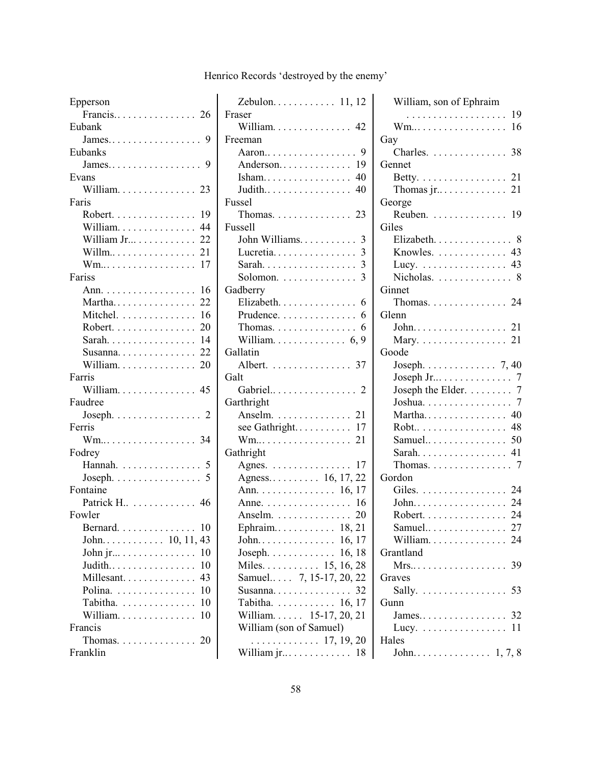| Epperson                                         |
|--------------------------------------------------|
| Francis 26                                       |
| Eubank                                           |
| $James. \ldots \ldots \ldots \ldots \ldots$<br>9 |
| Eubanks                                          |
|                                                  |
| Evans                                            |
| William. 23                                      |
| Faris                                            |
| Robert.<br>19                                    |
| William.<br>44                                   |
| William Jr<br>22                                 |
| Willm<br>21                                      |
| 17<br>Wm                                         |
| Fariss                                           |
| 16<br>Ann.                                       |
| 22<br>Martha                                     |
| Mitchel.<br>16                                   |
| Robert.<br>20                                    |
| -14<br>Sarah.                                    |
| 22<br>Susanna                                    |
| William.<br>20                                   |
| Farris                                           |
| William. 45                                      |
| Faudree                                          |
| Joseph. $\ldots \ldots \ldots \ldots 2$          |
| Ferris                                           |
| Wm 34                                            |
| Fodrey                                           |
| Hannah. 5                                        |
| Joseph. $\dots \dots \dots \dots \dots$          |
| Fontaine                                         |
| Patrick H. 46                                    |
| Fowler                                           |
| Bernard. 10                                      |
|                                                  |
| 10<br>John jr                                    |
| 10<br>Judith                                     |
| Millesant<br>43                                  |
| Polina.<br>10                                    |
| Tabitha.<br>10                                   |
| William.<br>10                                   |
| Francis                                          |
| Thomas. 20                                       |
| Franklin                                         |
|                                                  |

| Zebulon. 11, 12                                       |
|-------------------------------------------------------|
| Fraser                                                |
| William. 42                                           |
| Freeman                                               |
|                                                       |
|                                                       |
| Isham 40                                              |
|                                                       |
|                                                       |
| Fussel                                                |
| Thomas. $\ldots \ldots \ldots \ldots 23$              |
| <b>Fussell</b>                                        |
| John Williams 3                                       |
| Lucretia                                              |
| Sarah.                                                |
| Solomon.                                              |
| Gadberry                                              |
| Elizabeth. 6                                          |
| Prudence. $\dots \dots \dots \dots \dots$ 6           |
| Thomas. $\dots \dots \dots \dots \dots$ 6             |
| William. $\ldots \ldots \ldots \ldots 6, 9$           |
| Gallatin                                              |
| Albert. 37                                            |
| Galt                                                  |
|                                                       |
| Garthright                                            |
| Anselm. 21                                            |
| see Gathright 17                                      |
|                                                       |
| Wm 21                                                 |
| Gathright                                             |
| Agnes. $\dots \dots \dots \dots \dots \dots 17$       |
| Agness 16, 17, 22                                     |
| Ann. 16, 17                                           |
| Anne. 16                                              |
| Anselm. $\dots \dots \dots \dots$<br>20               |
| Ephraim $18, 21$                                      |
|                                                       |
|                                                       |
| 16, 18                                                |
| Miles. 15, 16, 28                                     |
| Samuel 7, 15-17, 20, 22                               |
| 32<br>Susanna                                         |
| $\ldots$                                              |
| Tabitha. 16, 17                                       |
| William 15-17, 20, 21                                 |
| William (son of Samuel)                               |
| $\ldots \ldots \ldots 17, 19, 20$<br>William jr<br>18 |

| William, son of Ephraim                         |
|-------------------------------------------------|
| . 19                                            |
| 16<br>Wm                                        |
| Gay                                             |
| Charles. $\ldots$ . 38                          |
| Gennet                                          |
| Betty. $\ldots \ldots \ldots \ldots \ldots 21$  |
|                                                 |
| George                                          |
| Reuben. 19                                      |
| Giles                                           |
| Elizabeth. 8                                    |
| Knowles. 43                                     |
| Lucy. $\ldots \ldots \ldots \ldots \ldots$ . 43 |
| Nicholas.  8                                    |
| Ginnet                                          |
| Thomas. $\ldots \ldots \ldots \ldots 24$        |
| Glenn                                           |
|                                                 |
| Mary. $\ldots \ldots \ldots \ldots 21$          |
| Goode                                           |
| Joseph. $\ldots \ldots \ldots \ldots$ 7, 40     |
|                                                 |
|                                                 |
| Joseph Jr $\ldots \ldots \ldots$ 7              |
| Joseph the Elder. $\dots \dots$ 7               |
|                                                 |
| Martha 40                                       |
| Robt 48                                         |
|                                                 |
| Sarah 41                                        |
| Thomas. $\ldots \ldots \ldots \ldots 7$         |
| Gordon                                          |
| Giles. 24                                       |
| John 24                                         |
| Robert. 24                                      |
| Samuel 27                                       |
| William. 24                                     |
| Grantland                                       |
| 39                                              |
| Graves                                          |
| .53<br>Sally.                                   |
| Gunn                                            |
|                                                 |
| Lucy. $\dots \dots \dots \dots \dots \dots 11$  |
| Hales                                           |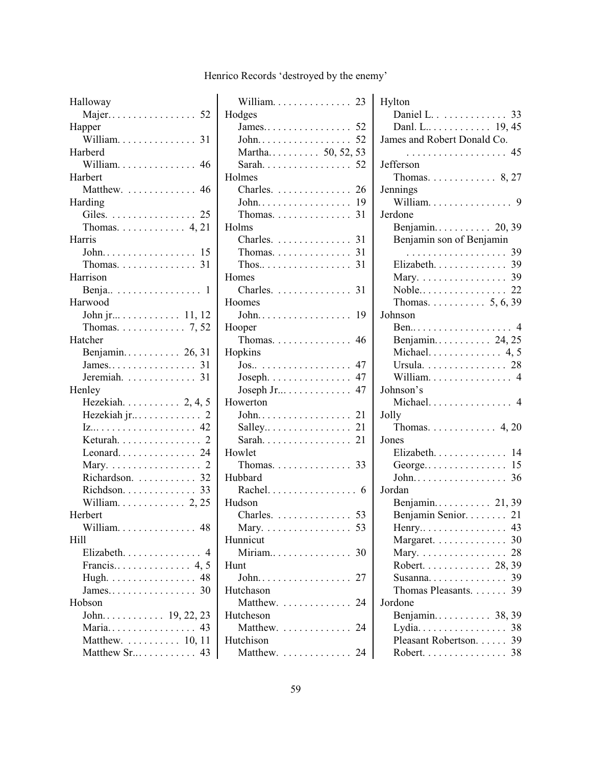| Halloway                                     |
|----------------------------------------------|
|                                              |
| Happer                                       |
| William. 31                                  |
| Harberd                                      |
| William. 46                                  |
| Harbert                                      |
| Matthew. 46                                  |
| Harding                                      |
|                                              |
|                                              |
| Harris                                       |
|                                              |
|                                              |
| Harrison                                     |
| Benja 1                                      |
| Harwood                                      |
|                                              |
| John jr 11, 12                               |
| Thomas. $\ldots$ . $\ldots$ 7, 52            |
| Hatcher                                      |
| Benjamin 26, 31                              |
|                                              |
| Jeremiah.  31                                |
| Henley                                       |
| Hezekiah. $\ldots$ . $\ldots$ 2, 4, 5        |
|                                              |
|                                              |
| Keturah 2                                    |
| Leonard 24                                   |
| $\cdots$ 2<br>Mary.                          |
| Richardson.  32                              |
| Richdson. 33                                 |
| William. $\ldots \ldots \ldots \ldots 2, 25$ |
| Herbert                                      |
| William 48                                   |
| Hill                                         |
| Elizabeth.<br>4                              |
|                                              |
| Hugh. 48                                     |
| James<br>30                                  |
| Hobson                                       |
|                                              |
|                                              |
| Maria 43                                     |
| Matthew.  10, 11                             |
| Matthew Sr 43                                |

| William. 23                              |    |
|------------------------------------------|----|
| Hodges                                   |    |
|                                          |    |
|                                          |    |
| Martha 50, 52, 53                        |    |
| Sarah 52                                 |    |
| Holmes                                   |    |
| Charles. 26                              |    |
| John. 19                                 |    |
| Thomas. $\ldots \ldots \ldots \ldots 31$ |    |
| Holms                                    |    |
| Charles. 31                              |    |
| Thomas. $\ldots \ldots \ldots \ldots 31$ |    |
|                                          |    |
| Homes                                    |    |
| Charles. 31                              |    |
| Hoomes                                   |    |
| John.                                    | 19 |
| Hooper                                   |    |
| Thomas. $\ldots \ldots \ldots \ldots$ 46 |    |
| Hopkins                                  |    |
| . 47<br>Jos                              |    |
| Joseph. $\ldots \ldots \ldots \ldots$ 47 |    |
| Joseph Jr $\dots \dots \dots \dots$ 47   |    |
| Howerton                                 |    |
| John 21                                  |    |
|                                          |    |
| Sarah 21                                 |    |
| Howlet                                   |    |
| Thomas. $\ldots \ldots \ldots \ldots$ 33 |    |
| Hubbard                                  |    |
| Rachel. 6                                |    |
| Hudson                                   |    |
| Charles. 53                              |    |
| Mary. 53                                 |    |
| Hunnicut                                 |    |
| Miriam                                   | 30 |
| Hunt                                     |    |
| $John$<br>$\ddots$ .                     | 27 |
| Hutchason                                |    |
| Matthew.<br>$\ldots$                     | 24 |
| Hutcheson                                |    |
| Matthew.                                 | 24 |
| Hutchison                                |    |
| Matthew.                                 | 24 |

| Hylton                                      |
|---------------------------------------------|
| Daniel L. 33                                |
| Danl. L 19, 45                              |
| James and Robert Donald Co.                 |
| . 45                                        |
| Jefferson                                   |
| Thomas. $\ldots \ldots \ldots \ldots 8, 27$ |
| Jennings                                    |
| William. 9                                  |
| Jerdone                                     |
| Benjamin 20, 39                             |
| Benjamin son of Benjamin                    |
| . 39                                        |
| Elizabeth. 39                               |
| Mary. 39                                    |
|                                             |
|                                             |
| Johnson                                     |
|                                             |
| Benjamin 24, 25                             |
|                                             |
| Michael. $\ldots$ . $\ldots$ . 4, 5         |
| Ursula. 28                                  |
| William. 4                                  |
| Johnson's                                   |
| Michael 4                                   |
| Jolly                                       |
| Thomas. $\ldots \ldots \ldots \ldots 4, 20$ |
| Jones                                       |
| 14<br>Elizabeth.                            |
| George 15                                   |
| 36<br>$John. \ldots \ldots \ldots \ldots$   |
| Jordan                                      |
| Benjamin 21,39                              |
| Benjamin Senior. 21                         |
| Henry 43                                    |
| Margaret. 30                                |
| Mary. 28                                    |
| Robert. 28, 39                              |
| Susanna 39                                  |
| Thomas Pleasants. 39                        |
| Jordone                                     |
| Benjamin 38, 39                             |
| Lydia 38                                    |
| Pleasant Robertson. 39                      |
| Robert. 38                                  |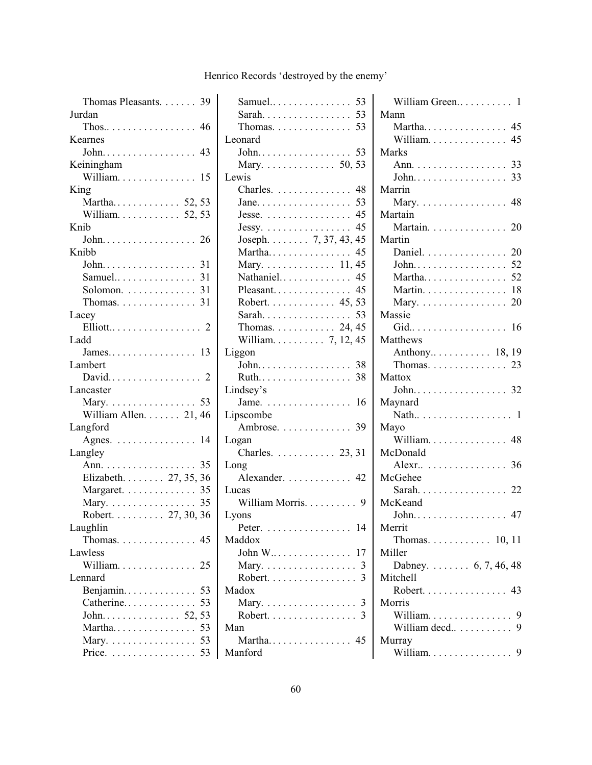| Thomas Pleasants. 39                            |  |
|-------------------------------------------------|--|
| Jurdan                                          |  |
|                                                 |  |
| Kearnes                                         |  |
| John 43                                         |  |
| Keiningham                                      |  |
| William 15                                      |  |
| King                                            |  |
| Martha 52, 53                                   |  |
| William. $\ldots \ldots \ldots 52, 53$          |  |
| Knib                                            |  |
|                                                 |  |
| Knibb                                           |  |
|                                                 |  |
|                                                 |  |
| Samuel 31                                       |  |
| Solomon. $\ldots \ldots \ldots \ldots$ 31       |  |
| Thomas. $\ldots \ldots \ldots \ldots 31$        |  |
| Lacey                                           |  |
| Elliott 2                                       |  |
| Ladd                                            |  |
|                                                 |  |
| Lambert                                         |  |
|                                                 |  |
| Lancaster                                       |  |
| Mary. 53                                        |  |
|                                                 |  |
|                                                 |  |
| William Allen. 21, 46                           |  |
| Langford                                        |  |
| Agnes. $\dots \dots \dots \dots \dots \dots$ 14 |  |
| Langley                                         |  |
| Ann. 35                                         |  |
| Elizabeth. 27, 35, 36                           |  |
| Margaret. 35                                    |  |
| Mary. 35                                        |  |
| Robert. 27, 30, 36                              |  |
| Laughlin                                        |  |
| Thomas.<br>45                                   |  |
| Lawless                                         |  |
| William.<br>25                                  |  |
| Lennard                                         |  |
| Benjamin<br>53                                  |  |
| Catherine<br>53                                 |  |
| John 52, 53                                     |  |
| Martha 53                                       |  |
| Mary. 53<br>53<br>Price.                        |  |

| Samuel 53                                            |
|------------------------------------------------------|
| Sarah 53                                             |
| Thomas. $\ldots \ldots \ldots \ldots 53$             |
| Leonard                                              |
|                                                      |
| Mary. 50, 53                                         |
| Lewis                                                |
| Charles.  48                                         |
|                                                      |
| Jesse. $\dots \dots \dots \dots \dots \dots$ 45      |
|                                                      |
| Jessy. 45<br>Joseph. 7, 37, 43, 45                   |
|                                                      |
| Mary. 11, 45                                         |
| Nathaniel 45                                         |
| Pleasant 45                                          |
| Robert. 45, 53                                       |
| Sarah 53                                             |
| Thomas. $\ldots \ldots \ldots 24, 45$                |
| William 7, 12, 45                                    |
| Liggon                                               |
| $John$<br>38                                         |
| Ruth 38                                              |
| Lindsey's                                            |
| Jame. $\dots \dots \dots \dots \dots \dots \dots$ 16 |
| Lipscombe                                            |
| Ambrose. 39                                          |
| Logan                                                |
| Charles. 23, 31                                      |
| Long                                                 |
| Alexander. 42                                        |
| Lucas                                                |
| William Morris.<br>9                                 |
| Lyons                                                |
| 14<br>Peter.<br>$\ldots$                             |
| Maddox                                               |
| John W<br>-17<br>$\cdots$                            |
| Mary. $\dots \dots \dots \dots \dots \dots$<br>3     |
| Robert.                                              |
| Madox                                                |
|                                                      |
| Mary.<br>$Robert. \ldots \ldots \ldots \ldots$       |
| Man                                                  |
| Martha 45                                            |
|                                                      |
| Manford                                              |

| William Green 1                          |
|------------------------------------------|
| Mann                                     |
| Martha 45                                |
| William. 45                              |
| Marks                                    |
| Ann. 33                                  |
| 33<br>John.                              |
| Marrin                                   |
| Mary. 48                                 |
| Martain                                  |
| Martain. 20                              |
| Martin                                   |
| 20<br>Daniel.                            |
| 52<br>John.                              |
| 52<br>Martha                             |
| 18<br>Martin.                            |
| 20<br>Mary.                              |
| Massie                                   |
| Gid 16                                   |
| Matthews                                 |
|                                          |
| Thomas. $\ldots \ldots \ldots \ldots 23$ |
| Mattox                                   |
| John. 32                                 |
| Maynard                                  |
| .<br>Nath 1                              |
| Mayo                                     |
| William 48                               |
| McDonald                                 |
|                                          |
| McGehee                                  |
|                                          |
|                                          |
| Sarah 22                                 |
| McKeand                                  |
| John 47                                  |
| Merrit                                   |
| Thomas. 10, 11                           |
| Miller                                   |
| Dabney. 6, 7, 46, 48                     |
| Mitchell                                 |
| Robert. 43                               |
| Morris                                   |
| William.<br>9                            |
| William decd<br>9                        |
| Murray                                   |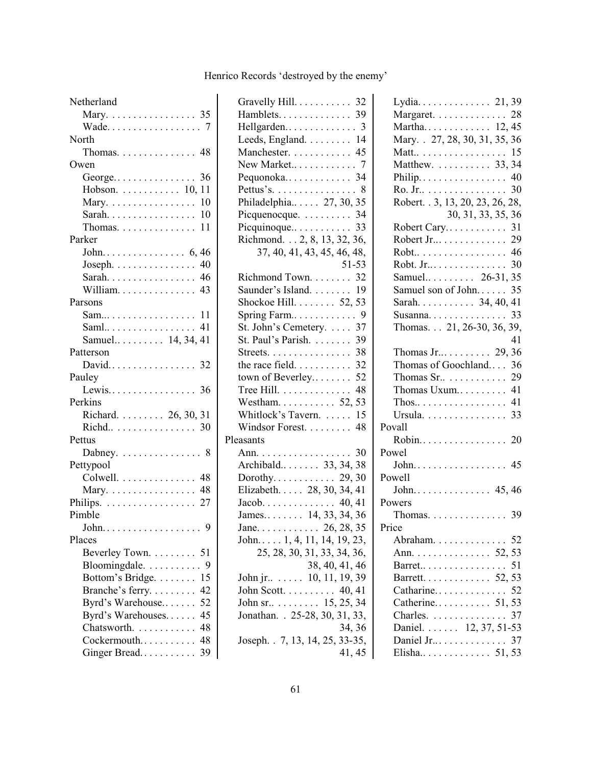| Netherland                                                                                             |
|--------------------------------------------------------------------------------------------------------|
| Mary. 35                                                                                               |
|                                                                                                        |
| North                                                                                                  |
| Thomas. 48                                                                                             |
| Owen                                                                                                   |
|                                                                                                        |
| Hobson. 10, 11                                                                                         |
| Mary. $\ldots \ldots \ldots \ldots \ldots 10$                                                          |
|                                                                                                        |
| Thomas. $\ldots \ldots \ldots \ldots 11$                                                               |
| Parker                                                                                                 |
|                                                                                                        |
| Joseph. $\ldots \ldots \ldots \ldots$ 40                                                               |
|                                                                                                        |
| William. 43                                                                                            |
| Parsons                                                                                                |
| Sam 11                                                                                                 |
| Saml 41                                                                                                |
| Samuel 14, 34, 41                                                                                      |
| Patterson                                                                                              |
| David 32                                                                                               |
| Pauley                                                                                                 |
|                                                                                                        |
| Perkins                                                                                                |
| Richard. 26, 30, 31                                                                                    |
| Richd 30                                                                                               |
| Pettus                                                                                                 |
| Dabney. $\ldots \ldots \ldots \ldots 8$                                                                |
| Pettypool                                                                                              |
| Colwell. 48                                                                                            |
| Mary. 48                                                                                               |
| Philips.<br>. 27                                                                                       |
| Pimble                                                                                                 |
| $\cdot$ 9<br>$John. \ldots \ldots \ldots$                                                              |
| Places                                                                                                 |
| 51                                                                                                     |
| $Bloomingdale. \ldots \ldots \ldots$<br>9                                                              |
| .15                                                                                                    |
| 42                                                                                                     |
| 52                                                                                                     |
| 45                                                                                                     |
| Chatsworth.                                                                                            |
| Cockermouth 48                                                                                         |
| Ginger Bread 39                                                                                        |
| Beverley Town.<br>Bottom's Bridge.<br>Branche's ferry<br>Byrd's Warehouse<br>Byrd's Warehouses<br>. 48 |

| Gravelly Hill. 32                         |
|-------------------------------------------|
| Hamblets 39                               |
| Hellgarden 3                              |
| Leeds, England. 14                        |
| Manchester. 45                            |
|                                           |
| Pequonoka 34                              |
| Pettus's. 8                               |
| Philadelphia 27, 30, 35                   |
| Picquenocque. 34                          |
| Picquinoque 33                            |
| Richmond. 2, 8, 13, 32, 36,               |
| 37, 40, 41, 43, 45, 46, 48,               |
| 51-53                                     |
| Richmond Town. 32                         |
| Saunder's Island. 19                      |
| Shockoe Hill. 52, 53                      |
|                                           |
| St. John's Cemetery.  37                  |
| St. Paul's Parish. 39                     |
| Streets. 38                               |
| the race field. $\ldots \ldots \ldots$ 32 |
| town of Beverley 52                       |
| Tree Hill. 48                             |
| Westham 52, 53                            |
| Whitlock's Tavern.  15                    |
| Windsor Forest. 48                        |
| Pleasants                                 |
|                                           |
| Ann. 30<br>Archibald. 33, 34, 38          |
|                                           |
|                                           |
|                                           |
|                                           |
| Jane. 26, 28, 35                          |
| John $1, 4, 11, 14, 19, 23,$              |
| 25, 28, 30, 31, 33, 34, 36,               |
| 38, 40, 41, 46                            |
| John jr $\dots$ 10, 11, 19, 39            |
| John Scott. $\ldots \ldots \ldots 40, 41$ |
| John sr. $\dots$ $15, 25, 34$             |
| Jonathan. . 25-28, 30, 31, 33,            |
| 34, 36                                    |
| Joseph. . 7, 13, 14, 25, 33-35,           |
| 41, 45                                    |
|                                           |

| Lydia 21, 39                      |    |
|-----------------------------------|----|
| Margaret. 28                      |    |
| Martha 12,45                      |    |
| Mary. . 27, 28, 30, 31, 35, 36    |    |
|                                   |    |
| Matt 15<br>Matthew. 33, 34        |    |
| Philip 40                         |    |
| Ro. Jr 30                         |    |
| Robert. . 3, 13, 20, 23, 26, 28,  |    |
| 30, 31, 33, 35, 36                |    |
| Robert Cary 31                    |    |
| Robert Jr 29                      |    |
| Robt 46                           |    |
| Robt. Jr 30                       |    |
| Samuel 26-31, 35                  |    |
| Samuel son of John 35             |    |
| Sarah 34, 40, 41                  |    |
|                                   |    |
|                                   |    |
| Thomas. 21, 26-30, 36, 39,        |    |
|                                   | 41 |
|                                   |    |
| Thomas of Goochland 36            |    |
| Thomas Sr. $\dots \dots \dots$ 29 |    |
| Thomas Uxum 41                    |    |
|                                   |    |
| Ursula. 33                        |    |
| Povall                            |    |
| Robin 20                          |    |
| Powel                             |    |
| John. 45                          |    |
| Powell                            |    |
|                                   |    |
| Powers                            |    |
| Thomas. 39                        |    |
| Price                             |    |
| Abraham. 52<br>Ann. 52, 53        |    |
|                                   |    |
| Barret 51<br>Barrett. 52, 53      |    |
|                                   |    |
|                                   |    |
|                                   |    |
| $\therefore$ 37<br>Charles.       |    |
| Daniel. 12, 37, 51-53             |    |
| Daniel Jr 37                      |    |
| Elisha 51, 53                     |    |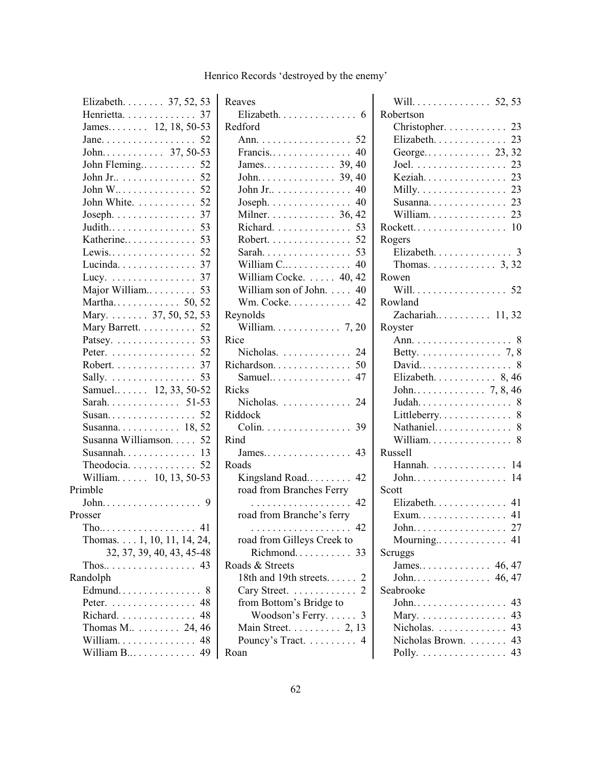| Elizabeth. $\ldots$ 37, 52, 53                       |
|------------------------------------------------------|
| Henrietta. 37                                        |
| James $12, 18, 50-53$                                |
|                                                      |
|                                                      |
| John Fleming 52                                      |
| John Jr 52                                           |
| John W 52                                            |
| John White. 52                                       |
| Joseph. $\ldots \ldots \ldots \ldots 37$             |
| Judith 53                                            |
| Katherine 53                                         |
| Lewis 52                                             |
| Lucinda. 37                                          |
| Lucy. 37                                             |
| Major William 53                                     |
|                                                      |
|                                                      |
| Mary Barrett. 52                                     |
| Patsey. $\dots \dots \dots \dots \dots$ 53           |
| Peter. 52                                            |
| Robert. 37                                           |
| Sally.<br>53                                         |
| Samuel 12, 33, 50-52                                 |
| Sarah 51-53                                          |
| Susan 52                                             |
| Susanna $18, 52$                                     |
| Susanna Williamson. 52                               |
|                                                      |
| Theodocia 52                                         |
| William. 10, 13, 50-53                               |
| Primble                                              |
|                                                      |
| Prosser                                              |
| $\text{The}\dots\dots\dots\dots\dots$<br>$\ldots$ 41 |
| Thomas. $\dots$ 1, 10, 11, 14, 24,                   |
| 32, 37, 39, 40, 43, 45-48                            |
|                                                      |
| Randolph                                             |
| Edmund<br>. 8                                        |
| Peter. 48                                            |
| Richard<br>48                                        |
| Thomas M $\dots \dots 24, 46$                        |
| William. 48                                          |
| William B 49                                         |

| Reaves                                        |
|-----------------------------------------------|
| $Elizabeth. \ldots \ldots \ldots \ldots$<br>6 |
| Redford                                       |
| Ann. 52                                       |
| Francis 40                                    |
|                                               |
|                                               |
|                                               |
| John Jr. $\dots \dots \dots \dots \dots$ 40   |
|                                               |
| Milner. $\dots \dots \dots \dots$ 36, 42      |
| 53<br>Richard.                                |
| 52<br>$Robert. \ldots \ldots \ldots \ldots$   |
| Sarah 53                                      |
| William C 40                                  |
| William Cocke. 40, 42                         |
| William son of John. 40                       |
| Wm. Cocke. 42                                 |
| Reynolds                                      |
| William. $\ldots \ldots \ldots \ldots$ 7, 20  |
| Rice                                          |
| Nicholas. $\ldots$ . 24                       |
| Richardson 50                                 |
| Samuel 47                                     |
| <b>Ricks</b>                                  |
| Nicholas. 24                                  |
| Riddock                                       |
| Colin. 39                                     |
| Rind                                          |
|                                               |
| Roads                                         |
| Kingsland Road 42                             |
| road from Branches Ferry                      |
| 42<br>.                                       |
| road from Branche's ferry                     |
| 42                                            |
| road from Gilleys Creek to                    |
| Richmond<br>33                                |
| Roads & Streets                               |
| 18th and 19th streets                         |
| Cary Street.<br>$\ldots$                      |
| from Bottom's Bridge to                       |
| Woodson's Ferry.                              |
| Main Street. 2, 13                            |
| Pouncy's Tract.                               |
| Roan                                          |
|                                               |

| Will. 52, 53                                     |
|--------------------------------------------------|
| Robertson                                        |
| Christopher. 23                                  |
| Elizabeth. 23                                    |
| George 23, 32                                    |
| Joel. 23                                         |
| Keziah 23                                        |
| Milly. $\ldots \ldots \ldots \ldots \ldots 23$   |
| Susanna 23                                       |
| William 23                                       |
| Rockett 10                                       |
| Rogers                                           |
| Elizabeth. 3                                     |
| Thomas. 3, 32                                    |
| Rowen                                            |
| Will. 52                                         |
| Rowland                                          |
| Zachariah 11, 32                                 |
| Royster                                          |
|                                                  |
| Betty. $\ldots \ldots \ldots \ldots \ldots$ 7, 8 |
| David 8                                          |
| Elizabeth. $\ldots$ . $\ldots$ . $8,46$          |
|                                                  |
|                                                  |
| Littleberry 8                                    |
| Nathaniel 8                                      |
| William. 8                                       |
| <b>Russell</b>                                   |
| Hannah. 14                                       |
| John 14                                          |
| Scott                                            |
| Elizabeth. 41                                    |
| Exum 41                                          |
| John 27                                          |
| Mourning 41                                      |
| Scruggs                                          |
|                                                  |
| John 46, 47                                      |
| Seabrooke                                        |
| 43<br>John.                                      |
| 43<br>Mary.                                      |
| Nicholas. 43                                     |
| Nicholas Brown.  43                              |
| Polly. 43                                        |
|                                                  |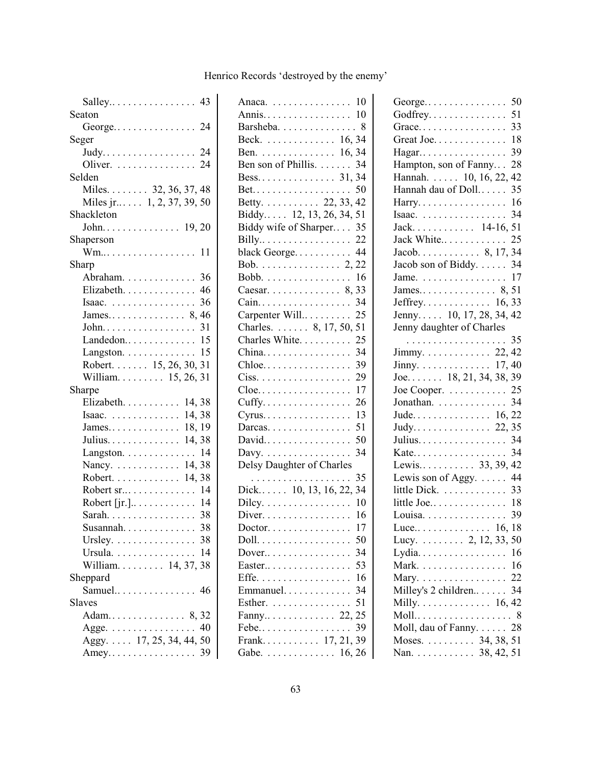| Seaton                                         |
|------------------------------------------------|
|                                                |
| Seger                                          |
|                                                |
| Oliver. $\ldots \ldots \ldots \ldots 24$       |
| Selden                                         |
| Miles. 32, 36, 37, 48                          |
| Miles jr $\ldots$ 1, 2, 37, 39, 50             |
| Shackleton                                     |
|                                                |
| Shaperson                                      |
| Wm 11                                          |
| Sharp                                          |
| Abraham. 36                                    |
| Elizabeth. 46                                  |
| Isaac. $\ldots \ldots \ldots \ldots \ldots 36$ |
|                                                |
|                                                |
| Landedon $15$                                  |
| Langston. $\dots \dots \dots \dots \dots$ 15   |
| Robert. 15, 26, 30, 31                         |
| William. 15, 26, 31                            |
| Sharpe                                         |
|                                                |
| Elizabeth. 14, 38                              |
| Isaac. $\ldots \ldots \ldots \ldots 14, 38$    |
|                                                |
| Julius. 14, 38                                 |
|                                                |
| Langston. $\dots \dots \dots \dots \dots$ 14   |
| Nancy. 14, 38<br>Robert. 14, 38                |
| Robert sr 14                                   |
| Robert [jr.] $\dots \dots \dots \dots$ 14      |
| Sarah. 38                                      |
| 38<br>Susannah.                                |
| Ursley. $\dots \dots \dots \dots \dots$ 38     |
|                                                |
| Ursula. 14<br>William 14, 37, 38               |
| Sheppard                                       |
| Samuel 46                                      |
| <b>Slaves</b>                                  |
| Adam 8,32                                      |
|                                                |
| Agge. 40<br>Aggy. 17, 25, 34, 44, 50           |

| Anaca. $\ldots \ldots \ldots \ldots \ldots 10$                |
|---------------------------------------------------------------|
| Annis 10                                                      |
| Barsheba. 8                                                   |
| Beck. 16, 34                                                  |
| Ben. 16, 34                                                   |
| Ben son of Phillis. 34                                        |
| Bess. $\ldots$ $\ldots$ $\ldots$ $\ldots$ $\ldots$ 31, 34     |
|                                                               |
|                                                               |
|                                                               |
| Biddy wife of Sharper 35                                      |
|                                                               |
| black George 44                                               |
| Bob. 2, 22                                                    |
| Bobb. 16                                                      |
| Caesar. 8, 33                                                 |
| 34<br>Cain.                                                   |
| Carpenter Will<br>25                                          |
| Charles. 8, 17, 50,<br>51                                     |
| Charles White<br>25                                           |
| China<br>34                                                   |
| 39<br>Chloe                                                   |
| 29<br>$Ciss.$                                                 |
| 17<br>$C$ loe                                                 |
| Cuffy<br>26                                                   |
| 13<br>Cyrus                                                   |
| 51<br>Darcas.                                                 |
| 50<br>David                                                   |
| 34<br>Davy. $\dots \dots \dots \dots \dots$                   |
| Delsy Daughter of Charles                                     |
| 35<br>.                                                       |
| Dick 10, 13, 16, 22, 34                                       |
| 10<br>Dilcy.                                                  |
| $Diver. \ldots \ldots \ldots \ldots$<br>16                    |
| 17<br>$Dactor$                                                |
| 50<br>Doll.                                                   |
| Dover $\ldots$<br>34                                          |
| 53<br>Easter<br>$\ldots$ .<br>$\ddot{\phantom{a}}$            |
| $Effe.$<br>16<br>$\ddot{\phantom{a}}$<br>$\ddot{\phantom{a}}$ |
| Emmanuel<br>34<br>$\cdots$                                    |
| 51                                                            |
| Esther.<br>Fanny 22,<br>25                                    |
| Febe<br>39                                                    |
| $\cdots$ 17, 21, 39<br>Frank                                  |
|                                                               |
| Gabe. 16, 26                                                  |

| George                                        | 50 |
|-----------------------------------------------|----|
| Godfrey                                       | 51 |
| Grace                                         | 33 |
| Great Joe.                                    | 18 |
| Hagar                                         | 39 |
| Hampton, son of Fanny                         | 28 |
| Hannah.  10, 16, 22,                          | 42 |
| Hannah dau of Doll                            | 35 |
| Harry.                                        | 16 |
| Isaac.                                        | 34 |
| Jack 14-16, 51                                |    |
| Jack White                                    | 25 |
| Jacob. $\ldots$ . $\ldots$ 8, 17, 34          |    |
| Jacob son of Biddy. 34                        |    |
| Jame. $\ldots \ldots \ldots \ldots \ldots 17$ |    |
|                                               |    |
|                                               |    |
| Jeffrey 16, 33<br>Jenny 10, 17, 28, 34, 42    |    |
| Jenny daughter of Charles                     |    |
| . 35                                          |    |
|                                               |    |
| Jinny. $\ldots \ldots \ldots \ldots 17, 40$   |    |
| Joe 18, 21, 34, 38, 39                        |    |
| Joe Cooper. $\ldots \ldots \ldots 25$         |    |
| Jonathan. 34                                  |    |
|                                               |    |
|                                               |    |
| Julius.                                       | 34 |
|                                               | 34 |
|                                               |    |
| Lewis son of Aggy.                            | 44 |
| little Dick. 33                               |    |
| little Joe 18                                 |    |
|                                               |    |
|                                               |    |
|                                               |    |
|                                               |    |
| Mark. 16                                      |    |
| Mary. 22                                      |    |
| Milley's 2 children 34                        |    |
| Milly. $\dots \dots \dots \dots \dots 16, 42$ |    |
|                                               |    |
| Moll, dau of Fanny. 28                        |    |
| Moses. 34, 38, 51                             |    |
| Nan. 38, 42, 51                               |    |
|                                               |    |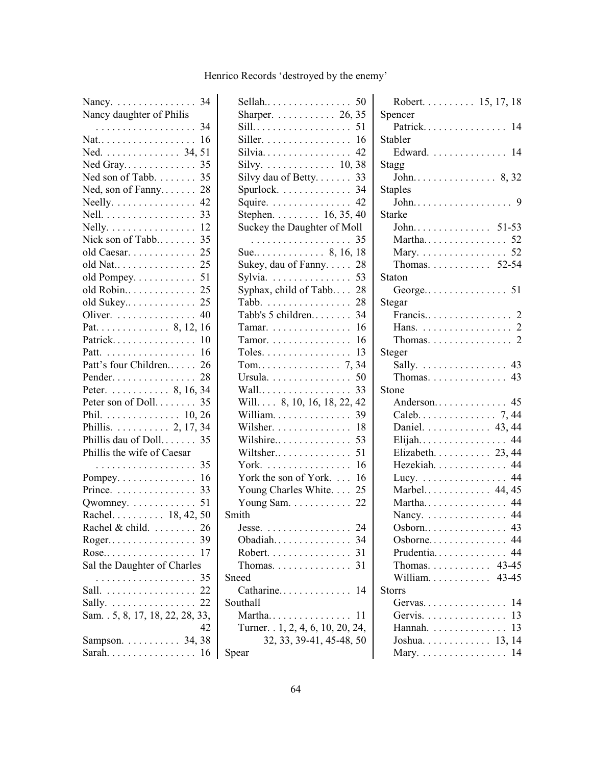| Nancy. 34                               |
|-----------------------------------------|
| Nancy daughter of Philis                |
| . 34                                    |
| Nat<br>16                               |
| 51                                      |
| Ned Gray<br>35                          |
| Ned son of Tabb.<br>35                  |
| Ned, son of Fanny<br>28                 |
| 42<br>Neelly. $\dots \dots \dots \dots$ |
| Nell.<br>33                             |
| 12<br>Nelly.                            |
| Nick son of Tabb<br>35                  |
| 25<br>old Caesar.                       |
| 25<br>old Nat                           |
| 51<br>old Pompey.                       |
| 25<br>old Robin                         |
| 25<br>old Sukey                         |
| 40<br>Oliver.                           |
|                                         |
| Patrick 10                              |
| Patt. 16                                |
| Patt's four Children<br>26              |
| Pender<br>28                            |
| Peter. 8, 16, 34                        |
| Peter son of Doll.<br>35                |
| Phil. 10, 26                            |
| Phillis. 2, 17, 34                      |
| Phillis dau of Doll 35                  |
| Phillis the wife of Caesar              |
| 35<br>.                                 |
| Pompey. 16                              |
| Prince. 33                              |
| 51<br>Qwomney.                          |
| Rachel. 18, 42, 50                      |
| Rachel & child. 26                      |
|                                         |
| Rose<br>17                              |
| Sal the Daughter of Charles             |
| . 35                                    |
| Sall. 22                                |
|                                         |
|                                         |
| 42                                      |
|                                         |
| Sampson. 34, 38                         |

| Sharper. $\ldots \ldots \ldots 26, 35$                 |
|--------------------------------------------------------|
|                                                        |
| Siller. $\dots \dots \dots \dots \dots \dots \dots$ 16 |
| Silvia 42                                              |
| Silvy. $\ldots \ldots \ldots \ldots 10, 38$            |
| Silvy dau of Betty. $\ldots$ 33                        |
| Spurlock. $\dots \dots \dots \dots$ 34                 |
| Squire. $\ldots \ldots \ldots \ldots$ . 42             |
| Stephen. 16, 35, 40                                    |
| Suckey the Daughter of Moll                            |
|                                                        |
| Sue 8, 16, 18                                          |
| Sukey, dau of Fanny. 28                                |
| Sylvia. $\ldots \ldots \ldots \ldots 53$               |
| Syphax, child of Tabb 28                               |
| Tabb. 28                                               |
| Tabb's 5 children 34                                   |
| Tamar. $\dots \dots \dots \dots \dots \dots 16$        |
| Tamor. $\dots \dots \dots \dots \dots \dots$ 16        |
| Toles. $\dots \dots \dots \dots \dots \dots$ 13        |
|                                                        |
| Ursula. 50                                             |
| 33<br>Wall                                             |
| Will. 8, 10, 16, 18, 22, 42                            |
| 39<br>William.                                         |
| -18<br>Wilsher.                                        |
| Wilshire 53                                            |
| Wiltsher 51                                            |
| York.<br>16                                            |
| York the son of York. 16                               |
| Young Charles White. 25                                |
| Young Sam. $\ldots \ldots \ldots 22$                   |
| Smith                                                  |
| 24<br>Jesse                                            |
| $Obadiah. \ldots \ldots \ldots \ldots$<br>34           |
| Robert.<br>31                                          |
| 31<br>$Thomas. \ldots \ldots \ldots \ldots$            |
| Sneed                                                  |
| Catharine 14                                           |
| Southall                                               |
| Martha<br>11                                           |
| Turner. . 1, 2, 4, 6, 10, 20, 24,                      |
| 32, 33, 39-41, 45-48, 50                               |
| Spear                                                  |
|                                                        |

| Robert. 15, 17, 18                       |  |
|------------------------------------------|--|
| Spencer                                  |  |
| Patrick 14                               |  |
| Stabler                                  |  |
| Edward. 14                               |  |
| <b>Stagg</b>                             |  |
|                                          |  |
| <b>Staples</b>                           |  |
|                                          |  |
| Starke                                   |  |
| John 51-53                               |  |
| Martha 52                                |  |
| Mary. 52                                 |  |
| Thomas. 52-54                            |  |
| Staton                                   |  |
|                                          |  |
| Stegar                                   |  |
|                                          |  |
| Hans. 2                                  |  |
| Thomas. 2                                |  |
| Steger                                   |  |
| Sally. 43                                |  |
| Thomas. $\ldots \ldots \ldots \ldots$ 43 |  |
| Stone                                    |  |
| Anderson 45                              |  |
| Caleb. 7, 44                             |  |
| Daniel. 43, 44                           |  |
| Elijah 44                                |  |
| Elizabeth. 23, 44                        |  |
| Hezekiah. 44                             |  |
| Lucy. 44                                 |  |
| Marbel 44, 45                            |  |
| Martha 44                                |  |
| Nancy. 44                                |  |
| Osborn 43                                |  |
| Osborne 44                               |  |
| Prudentia 44                             |  |
| Thomas. 43-45                            |  |
| William 43-45                            |  |
| <b>Storrs</b>                            |  |
| Gervas.<br>14                            |  |
| 13<br>Gervis.                            |  |
| 13<br>Hannah.                            |  |
| Joshua $13, 14$                          |  |
| Mary. 14                                 |  |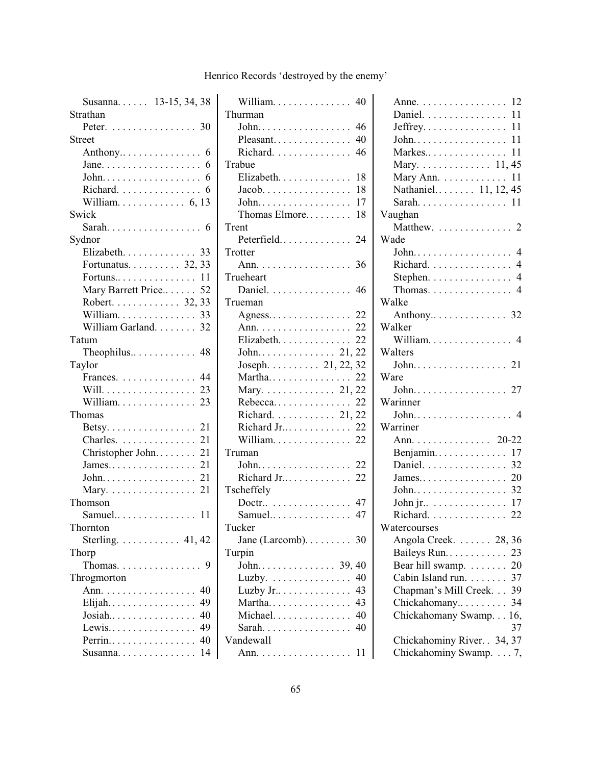| Susanna 13-15, 34, 38                            |
|--------------------------------------------------|
| Strathan                                         |
| Peter. 30                                        |
| Street                                           |
|                                                  |
| Jane. $\dots \dots \dots \dots \dots \dots$<br>6 |
| 6                                                |
| Richard.<br>6                                    |
|                                                  |
| Swick                                            |
|                                                  |
| Sydnor                                           |
| Elizabeth. 33                                    |
| Fortunatus. 32, 33                               |
| Fortuns 11                                       |
| Mary Barrett Price 52                            |
| Robert. 32, 33                                   |
| William. 33                                      |
| William Garland. 32                              |
| Tatum                                            |
| Theophilus 48                                    |
| Taylor                                           |
| Frances. 44                                      |
| Will. 23                                         |
| William.<br>23                                   |
| Thomas                                           |
| Betsy. 21                                        |
| Charles. 21                                      |
| Christopher John<br>21                           |
|                                                  |
| John. 21                                         |
| 21<br>Mary.                                      |
| Thomson                                          |
| Samuel<br>11                                     |
| Thornton                                         |
| Sterling. $\dots \dots \dots$ 41, 42             |
| Thorp                                            |
| Thomas.<br>9                                     |
| Throgmorton                                      |
| Ann.<br>40                                       |
| Elijah<br>49                                     |
| Josiah<br>40                                     |
| Lewis<br>49                                      |
| Perrin<br>40                                     |
| 14<br>Susanna                                    |
|                                                  |

| William $\dots\dots\dots\dots$ 40                 |
|---------------------------------------------------|
| Thurman                                           |
|                                                   |
| Pleasant 40                                       |
| Richard. 46                                       |
| Trabue                                            |
| 18<br>Elizabeth.                                  |
| 18<br>$Jacob. \ldots \ldots \ldots \ldots \ldots$ |
| 17<br>John.                                       |
| Thomas Elmore<br>18                               |
| Trent                                             |
| Peterfield 24                                     |
| Trotter                                           |
| Ann. 36                                           |
| Trueheart                                         |
| Daniel. 46                                        |
| Trueman                                           |
| Agness 22                                         |
| Ann. 22                                           |
| Elizabeth.<br>22                                  |
|                                                   |
| Joseph. 21, 22, 32                                |
|                                                   |
| Martha 22<br>Mary. 21, 22                         |
|                                                   |
| Rebecca 22                                        |
| Richard. 21, 22                                   |
| Richard Jr 22                                     |
| William 22                                        |
| Truman                                            |
| John 22                                           |
| Richard Jr 22                                     |
| Tscheffely                                        |
| Doctr 47                                          |
| Samuel.<br>47                                     |
| Tucker                                            |
| Jane (Larcomb)<br>30                              |
| Turpin                                            |
| John<br>$\ldots 39, 40$<br>$\ldots \ldots \ldots$ |
| Luzby. $\dots \dots \dots$<br>40                  |
| Luzby Jr<br>43                                    |
| Martha<br>43                                      |
| Michael<br>40                                     |
| 40<br>Sarah.                                      |
| Vandewall                                         |
| 11                                                |
|                                                   |

| $\mathfrak z$            | Anne. 12                                    |
|--------------------------|---------------------------------------------|
|                          | Daniel. 11                                  |
| 5                        |                                             |
| $\mathbf{)}$             |                                             |
| 5                        | Markes 11                                   |
|                          | Mary. 11, 45                                |
| 3                        | Mary Ann. 11                                |
| $\overline{\mathbf{S}}$  | Nathaniel 11, 12, 45                        |
| 7                        |                                             |
| ξ                        | Vaughan                                     |
|                          | Matthew.  2                                 |
| $\ddagger$               | Wade                                        |
|                          |                                             |
| 5                        | Richard. 4                                  |
|                          | Stephen. 4                                  |
| 5                        | Thomas. $\dots \dots \dots \dots \dots$ 4   |
|                          | Walke                                       |
|                          | Anthony 32                                  |
|                          | Walker                                      |
|                          | William 4                                   |
|                          | Walters                                     |
|                          |                                             |
|                          | Ware                                        |
|                          | John. 27                                    |
|                          | Warinner                                    |
|                          | John 4                                      |
|                          | Warriner                                    |
|                          | Ann. 20-22                                  |
|                          | Benjamin 17                                 |
| $\frac{2}{2}$            | Daniel. 32                                  |
|                          |                                             |
|                          | John 32                                     |
| 7<br>7                   | John jr. $\dots \dots \dots \dots \dots 17$ |
|                          | Richard. 22                                 |
|                          | Watercourses                                |
| $\overline{\mathcal{L}}$ | Angola Creek. 28, 36                        |

Baileys Run.. . . . . . . . . . . 23 Bear hill swamp. . . . . . . . 20 Cabin Island run. . . . . . . . 37 Chapman's Mill Creek. . . 39 Chickahomany.. . . . . . . . . 34 Chickahomany Swamp. . . 16,

Chickahominy River. . 34, 37 Chickahominy Swamp. . . . 7,

37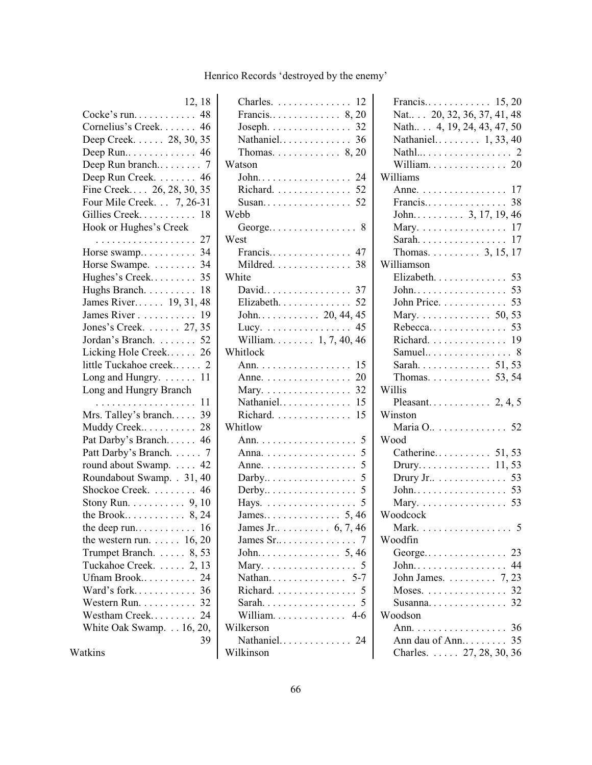| 12, 18                                  |
|-----------------------------------------|
| Cocke's run 48                          |
| Cornelius's Creek 46                    |
| Deep Creek. 28, 30, 35                  |
| Deep Run 46                             |
| Deep Run branch 7                       |
| Deep Run Creek. 46                      |
| Fine Creek 26, 28, 30, 35               |
| Four Mile Creek. 7, 26-31               |
| Gillies Creek<br>18                     |
| Hook or Hughes's Creek                  |
| . 27                                    |
| Horse swamp 34                          |
| Horse Swampe. 34                        |
| Hughes's Creek 35                       |
| Hughs Branch.<br>18                     |
| James River 19, 31, 48                  |
|                                         |
| James River 19<br>Jones's Creek. 27, 35 |
| Jordan's Branch. 52                     |
| Licking Hole Creek 26                   |
| little Tuckahoe creek 2                 |
| Long and Hungry. $\dots$ 11             |
| Long and Hungry Branch                  |
| . 11                                    |
| Mrs. Talley's branch 39                 |
| Muddy Creek 28                          |
| Pat Darby's Branch 46                   |
| Patt Darby's Branch. 7                  |
| round about Swamp. 42                   |
| Roundabout Swamp. . 31, 40              |
| Shockoe Creek.<br>46                    |
|                                         |
| Stony Run. $\ldots \ldots \ldots 9, 10$ |
|                                         |
|                                         |
| the western run. $\ldots$ 16, 20        |
| Trumpet Branch. 8, 53                   |
| Tuckahoe Creek.  2, 13                  |
| Ufnam Brook<br>24                       |
| Ward's fork<br>36                       |
| Western Run.<br>32                      |
| Westham Creek<br>24                     |
| White Oak Swamp. 16, 20,                |
| 39                                      |
| Watkins                                 |

| Charles. 12                                   |
|-----------------------------------------------|
|                                               |
| Joseph. $\ldots \ldots \ldots \ldots 32$      |
| Nathaniel 36                                  |
| Thomas. $\ldots \ldots \ldots 8, 20$          |
| Watson                                        |
| John 24                                       |
| Richard. 52                                   |
| Susan 52                                      |
| Webb                                          |
|                                               |
| West                                          |
| Francis 47                                    |
| Mildred. 38                                   |
| White                                         |
| David 37                                      |
| Elizabeth 52                                  |
|                                               |
| Lucy. $\ldots \ldots \ldots \ldots \ldots$ 45 |
| William $1, 7, 40, 46$                        |
| Whitlock                                      |
| Ann. 15                                       |
| Anne. 20                                      |
| Mary. 32                                      |
| Nathaniel 15                                  |
| 15<br>Richard.                                |
| Whitlow                                       |
|                                               |
|                                               |
|                                               |
| Anne.                                         |
| 5<br>$Darby \ldots \ldots \ldots$             |
| 5                                             |
| Hays.                                         |
|                                               |
| James Jr. $\dots$ 6, 7, 46                    |
| James Sr<br>7                                 |
| .5,46<br>John                                 |
| . . 5<br>Mary.<br>.                           |
| Nathan                                        |
| 5<br>Richard.                                 |
| Sarah.                                        |
| William $4-6$                                 |
| Wilkerson                                     |
| Nathaniel<br>24                               |
| Wilkinson                                     |

| Francis $15, 20$                               |
|------------------------------------------------|
| Nat 20, 32, 36, 37, 41, 48                     |
| Nath 4, 19, 24, 43, 47, 50                     |
| Nathaniel 1, 33, 40                            |
|                                                |
| William. 20                                    |
| Williams                                       |
| Anne. 17                                       |
|                                                |
| John 3, 17, 19, 46                             |
| Mary. $\ldots \ldots \ldots \ldots \ldots 17$  |
| Sarah. $\dots \dots \dots \dots \dots$<br>17   |
| Thomas. 3, 15, 17                              |
| Williamson                                     |
| Elizabeth. 53                                  |
|                                                |
|                                                |
| Mary. 50, 53                                   |
|                                                |
| Richard. 19                                    |
|                                                |
| Sarah 51, 53                                   |
| Thomas. 53, 54                                 |
| Willis                                         |
|                                                |
| Winston                                        |
| Maria O 52                                     |
| Wood                                           |
|                                                |
| Catherine 51, 53                               |
|                                                |
| Drury Jr 53                                    |
|                                                |
| Mary. 53                                       |
| Woodcock                                       |
| 5<br>Mark                                      |
| Woodfin                                        |
|                                                |
| John 44                                        |
| John James. $\ldots \ldots \ldots$ 7, 23       |
| Moses. $\ldots \ldots \ldots \ldots \ldots$ 32 |
| Susanna 32                                     |
| Woodson                                        |
| Ann. $\ldots$ .<br>. 36                        |
| Ann dau of Ann 35                              |
| Charles.  27, 28, 30, 36                       |